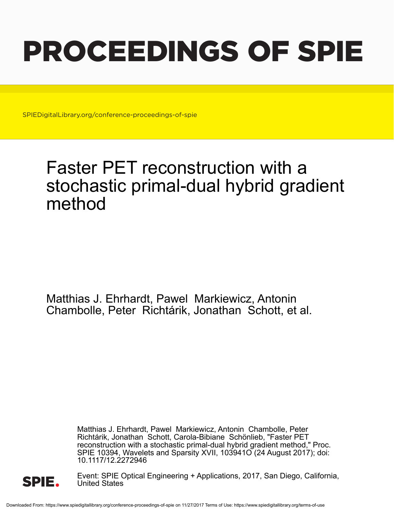# PROCEEDINGS OF SPIE

SPIEDigitalLibrary.org/conference-proceedings-of-spie

## Faster PET reconstruction with a stochastic primal-dual hybrid gradient method

Matthias J. Ehrhardt, Pawel Markiewicz, Antonin Chambolle, Peter Richtárik, Jonathan Schott, et al.

> Matthias J. Ehrhardt, Pawel Markiewicz, Antonin Chambolle, Peter Richtárik, Jonathan Schott, Carola-Bibiane Schönlieb, "Faster PET reconstruction with a stochastic primal-dual hybrid gradient method," Proc. SPIE 10394, Wavelets and Sparsity XVII, 103941O (24 August 2017); doi: 10.1117/12.2272946



Event: SPIE Optical Engineering + Applications, 2017, San Diego, California, United States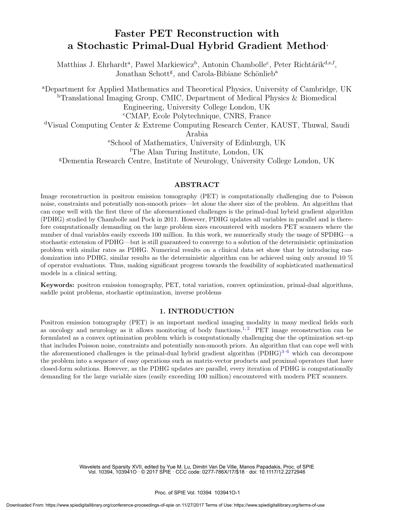### Faster PET Reconstruction with a Stochastic Primal-Dual Hybrid Gradient Method<sup>∗</sup>

Matthias J. Ehrhardt<sup>a</sup>, Pawel Markiewicz<sup>b</sup>, Antonin Chambolle<sup>c</sup>, Peter Richtárik<sup>d,e,f</sup>, Jonathan Schott<sup>g</sup>, and Carola-Bibiane Schönlieb<sup>a</sup>

<sup>a</sup>Department for Applied Mathematics and Theoretical Physics, University of Cambridge, UK <sup>b</sup>Translational Imaging Group, CMIC, Department of Medical Physics & Biomedical Engineering, University College London, UK <sup>c</sup>CMAP, Ecole Polytechnique, CNRS, France <sup>d</sup>Visual Computing Center & Extreme Computing Research Center, KAUST, Thuwal, Saudi Arabia <sup>e</sup>School of Mathematics, University of Edinburgh, UK <sup>f</sup>The Alan Turing Institute, London, UK <sup>g</sup>Dementia Research Centre, Institute of Neurology, University College London, UK

#### ABSTRACT

Image reconstruction in positron emission tomography (PET) is computationally challenging due to Poisson noise, constraints and potentially non-smooth priors—let alone the sheer size of the problem. An algorithm that can cope well with the first three of the aforementioned challenges is the primal-dual hybrid gradient algorithm (PDHG) studied by Chambolle and Pock in 2011. However, PDHG updates all variables in parallel and is therefore computationally demanding on the large problem sizes encountered with modern PET scanners where the number of dual variables easily exceeds 100 million. In this work, we numerically study the usage of SPDHG—a stochastic extension of PDHG—but is still guaranteed to converge to a solution of the deterministic optimization problem with similar rates as PDHG. Numerical results on a clinical data set show that by introducing randomization into PDHG, similar results as the deterministic algorithm can be achieved using only around 10 % of operator evaluations. Thus, making significant progress towards the feasibility of sophisticated mathematical models in a clinical setting.

Keywords: positron emission tomography, PET, total variation, convex optimization, primal-dual algorithms, saddle point problems, stochastic optimization, inverse problems

#### 1. INTRODUCTION

Positron emission tomography (PET) is an important medical imaging modality in many medical fields such as oncology and neurology as it allows monitoring of body functions.<sup>1,2</sup> PET image reconstruction can be formulated as a convex optimization problem which is computationally challenging due the optimization set-up that includes Poisson noise, constraints and potentially non-smooth priors. An algorithm that can cope well with the aforementioned challenges is the primal-dual hybrid gradient algorithm  $(PDHG)^{3-6}$  which can decompose the problem into a sequence of easy operations such as matrix-vector products and proximal operators that have closed-form solutions. However, as the PDHG updates are parallel, every iteration of PDHG is computationally demanding for the large variable sizes (easily exceeding 100 million) encountered with modern PET scanners.

> Wavelets and Sparsity XVII, edited by Yue M. Lu, Dimitri Van De Ville, Manos Papadakis, Proc. of SPIE Vol. 10394, 103941O · © 2017 SPIE · CCC code: 0277-786X/17/\$18 · doi: 10.1117/12.2272946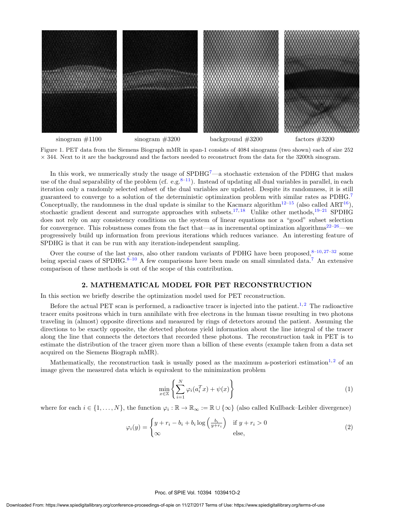

Figure 1. PET data from the Siemens Biograph mMR in span-1 consists of 4084 sinograms (two shown) each of size 252  $\times$  344. Next to it are the background and the factors needed to reconstruct from the data for the 3200th sinogram.

In this work, we numerically study the usage of  $SPDHG<sup>7</sup>$ —a stochastic extension of the PDHG that makes use of the dual separability of the problem (cf. e.g.<sup>8–11</sup>). Instead of updating all dual variables in parallel, in each iteration only a randomly selected subset of the dual variables are updated. Despite its randomness, it is still guaranteed to converge to a solution of the deterministic optimization problem with similar rates as PDHG.<sup>7</sup> Conceptually, the randomness in the dual update is similar to the Kacmarz algorithm<sup>12–15</sup> (also called ART<sup>16</sup>), stochastic gradient descent and surrogate approaches with subsets.<sup>17, 18</sup> Unlike other methods,<sup>19–21</sup> SPDHG does not rely on any consistency conditions on the system of linear equations nor a "good" subset selection for convergence. This robustness comes from the fact that—as in incremental optimization algorithms<sup>22–26</sup>—we progressively build up information from previous iterations which reduces variance. An interesting feature of SPDHG is that it can be run with any iteration-independent sampling.

Over the course of the last years, also other random variants of PDHG have been proposed, $8-10,27-32$  some being special cases of SPDHG.<sup>8–10</sup> A few comparisons have been made on small simulated data.<sup>7</sup> An extensive comparison of these methods is out of the scope of this contribution.

#### 2. MATHEMATICAL MODEL FOR PET RECONSTRUCTION

In this section we briefly describe the optimization model used for PET reconstruction.

Before the actual PET scan is performed, a radioactive tracer is injected into the patient.<sup>1,2</sup> The radioactive tracer emits positrons which in turn annihilate with free electrons in the human tissue resulting in two photons traveling in (almost) opposite directions and measured by rings of detectors around the patient. Assuming the directions to be exactly opposite, the detected photons yield information about the line integral of the tracer along the line that connects the detectors that recorded these photons. The reconstruction task in PET is to estimate the distribution of the tracer given more than a billion of these events (example taken from a data set acquired on the Siemens Biograph mMR).

Mathematically, the reconstruction task is usually posed as the maximum a-posteriori estimation<sup>1,2</sup> of an image given the measured data which is equivalent to the minimization problem

$$
\min_{x \in \mathbb{X}} \left\{ \sum_{i=1}^{N} \varphi_i(a_i^T x) + \psi(x) \right\} \tag{1}
$$

where for each  $i \in \{1, ..., N\}$ , the function  $\varphi_i : \mathbb{R} \to \mathbb{R}_{\infty} := \mathbb{R} \cup \{\infty\}$  (also called Kullback–Leibler divergence)

$$
\varphi_i(y) = \begin{cases} y + r_i - b_i + b_i \log \left( \frac{b_i}{y + r_i} \right) & \text{if } y + r_i > 0 \\ \infty & \text{else,} \end{cases}
$$
 (2)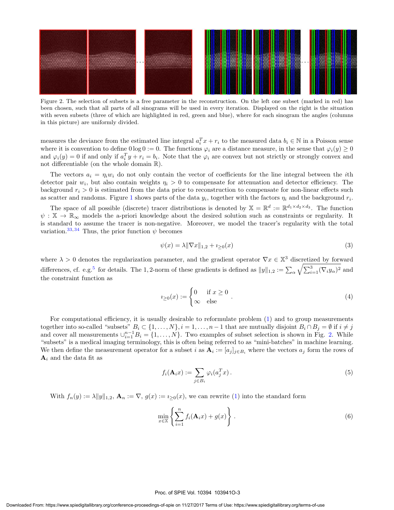

Figure 2. The selection of subsets is a free parameter in the reconstruction. On the left one subset (marked in red) has been chosen, such that all parts of all sinograms will be used in every iteration. Displayed on the right is the situation with seven subsets (three of which are highlighted in red, green and blue), where for each sinogram the angles (columns in this picture) are uniformly divided.

measures the deviance from the estimated line integral  $a_i^T x + r_i$  to the measured data  $b_i \in \mathbb{N}$  in a Poisson sense where it is convention to define  $0 \log 0 := 0$ . The functions  $\varphi_i$  are a distance measure, in the sense that  $\varphi_i(y) \ge 0$ and  $\varphi_i(y) = 0$  if and only if  $a_i^T y + r_i = b_i$ . Note that the  $\varphi_i$  are convex but not strictly or strongly convex and not differentiable (on the whole domain R).

The vectors  $a_i = \eta_i w_i$  do not only contain the vector of coefficients for the line integral between the *i*th detector pair  $w_i$ , but also contain weights  $\eta_i > 0$  to compensate for attenuation and detector efficiency. The background  $r_i > 0$  is estimated from the data prior to reconstruction to compensate for non-linear effects such as scatter and randoms. Figure 1 shows parts of the data  $y_i$ , together with the factors  $\eta_i$  and the background  $r_i$ .

The space of all possible (discrete) tracer distributions is denoted by  $\mathbb{X} = \mathbb{R}^d := \mathbb{R}^{d_1 \times d_2 \times d_3}$ . The function  $\psi : \mathbb{X} \to \mathbb{R}_{\infty}$  models the a-priori knowledge about the desired solution such as constraints or regularity. It is standard to assume the tracer is non-negative. Moreover, we model the tracer's regularity with the total variation.<sup>33, 34</sup> Thus, the prior function  $\psi$  becomes

$$
\psi(x) = \lambda \|\nabla x\|_{1,2} + i_{\geq 0}(x) \tag{3}
$$

where  $\lambda > 0$  denotes the regularization parameter, and the gradient operator  $\nabla x \in \mathbb{X}^3$  discretized by forward differences, cf. e.g.<sup>5</sup> for details. The 1, 2-norm of these gradients is defined as  $||y||_{1,2} := \sum_{\alpha} \sqrt{\sum_{i=1}^{3} (\nabla_i y_{\alpha})^2}$  and the constraint function as

$$
i_{\geq 0}(x) := \begin{cases} 0 & \text{if } x \geq 0 \\ \infty & \text{else} \end{cases} . \tag{4}
$$

For computational efficiency, it is usually desirable to reformulate problem (1) and to group measurements together into so-called "subsets"  $B_i \subset \{1, \ldots, N\}, i = 1, \ldots, n-1$  that are mutually disjoint  $B_i \cap B_j = \emptyset$  if  $i \neq j$ and cover all measurements  $\cup_{i=1}^{n-1} B_i = \{1, \ldots, N\}$ . Two examples of subset selection is shown in Fig. 2. While "subsets" is a medical imaging terminology, this is often being referred to as "mini-batches" in machine learning. We then define the measurement operator for a subset i as  $\mathbf{A}_i := [a_j]_{j \in B_i}$  where the vectors  $a_j$  form the rows of  $\mathbf{A}_i$  and the data fit as

$$
f_i(\mathbf{A}_i x) := \sum_{j \in B_i} \varphi_i(a_j^T x). \tag{5}
$$

With  $f_n(y) := \lambda ||y||_{1,2}$ ,  $\mathbf{A}_n := \nabla$ ,  $g(x) := i_{\geq 0}(x)$ , we can rewrite (1) into the standard form

$$
\min_{x \in \mathbb{X}} \left\{ \sum_{i=1}^{n} f_i(\mathbf{A}_i x) + g(x) \right\} . \tag{6}
$$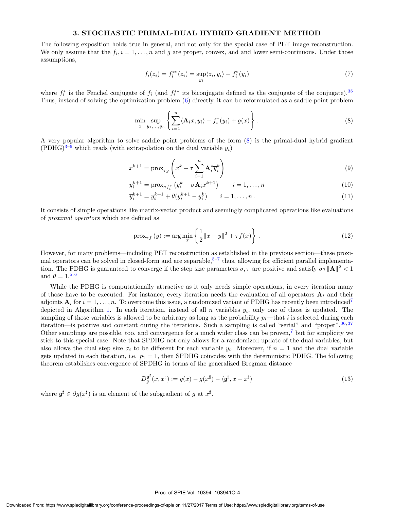#### 3. STOCHASTIC PRIMAL-DUAL HYBRID GRADIENT METHOD

The following exposition holds true in general, and not only for the special case of PET image reconstruction. We only assume that the  $f_i, i = 1, \ldots, n$  and g are proper, convex, and and lower semi-continuous. Under those assumptions,

$$
f_i(z_i) = f_i^{**}(z_i) = \sup_{y_i} \langle z_i, y_i \rangle - f_i^{*}(y_i)
$$
\n(7)

where  $f_i^*$  is the Fenchel conjugate of  $f_i$  (and  $f_i^{**}$  its biconjugate defined as the conjugate of the conjugate).<sup>35</sup> Thus, instead of solving the optimization problem (6) directly, it can be reformulated as a saddle point problem

$$
\min_{x} \sup_{y_1,\ldots,y_n} \left\{ \sum_{i=1}^n \langle \mathbf{A}_i x, y_i \rangle - f_i^*(y_i) + g(x) \right\} . \tag{8}
$$

A very popular algorithm to solve saddle point problems of the form (8) is the primal-dual hybrid gradient  $(PDHG)^{3-6}$  which reads (with extrapolation on the dual variable  $y_i$ )

$$
x^{k+1} = \operatorname{prox}_{\tau g} \left( x^k - \tau \sum_{i=1}^n \mathbf{A}_i^* \overline{y}_i^k \right)
$$
 (9)

$$
y_i^{k+1} = \text{prox}_{\sigma f_i^*} \left( y_i^k + \sigma \mathbf{A}_i x^{k+1} \right) \qquad i = 1, ..., n
$$
 (10)

$$
\overline{y}_i^{k+1} = y_i^{k+1} + \theta(y_i^{k+1} - y_i^k) \qquad i = 1, \dots, n. \tag{11}
$$

It consists of simple operations like matrix-vector product and seemingly complicated operations like evaluations of proximal operators which are defined as

$$
\text{prox}_{\tau f}(y) := \arg \min_{x} \left\{ \frac{1}{2} \|x - y\|^2 + \tau f(x) \right\}.
$$
 (12)

However, for many problems—including PET reconstruction as established in the previous section—these proximal operators can be solved in closed-form and are separable,<sup>5–7</sup> thus, allowing for efficient parallel implementation. The PDHG is guaranteed to converge if the step size parameters  $\sigma, \tau$  are positive and satisfy  $\sigma\tau \|\mathbf{A}\|^2 < 1$ and  $\theta = 1.5, 6$ 

While the PDHG is computationally attractive as it only needs simple operations, in every iteration many of those have to be executed. For instance, every iteration needs the evaluation of all operators  $A_i$  and their adjoints  $A_i$  for  $i = 1, \ldots, n$ . To overcome this issue, a randomized variant of PDHG has recently been introduced<sup>7</sup> depicted in Algorithm 1. In each iteration, instead of all  $n$  variables  $y_i$ , only one of those is updated. The sampling of those variables is allowed to be arbitrary as long as the probability  $p_i$ —that i is selected during each iteration—is positive and constant during the iterations. Such a sampling is called "serial" and "proper".<sup>36, 37</sup> Other samplings are possible, too, and convergence for a much wider class can be proven,<sup>7</sup> but for simplicity we stick to this special case. Note that SPDHG not only allows for a randomized update of the dual variables, but also allows the dual step size  $\sigma_i$  to be different for each variable  $y_i$ . Moreover, if  $n = 1$  and the dual variable gets updated in each iteration, i.e.  $p_1 = 1$ , then SPDHG coincides with the deterministic PDHG. The following theorem establishes convergence of SPDHG in terms of the generalized Bregman distance

$$
D_g^{\mathfrak{g}^\sharp}(x, x^\sharp) := g(x) - g(x^\sharp) - \langle \mathfrak{g}^\sharp, x - x^\sharp \rangle \tag{13}
$$

where  $\mathfrak{g}^{\sharp} \in \partial g(x^{\sharp})$  is an element of the subgradient of g at  $x^{\sharp}$ .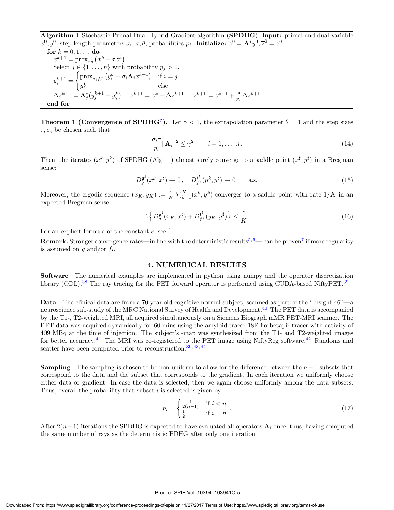Algorithm 1 Stochastic Primal-Dual Hybrid Gradient algorithm (SPDHG). Input: primal and dual variable  $x^0, y^0$ , step length parameters  $\sigma_i$ ,  $\tau$ ,  $\theta$ , probabilities  $p_i$ . Initialize:  $z^0 = A^* y^0$ ,  $\overline{z}^0 = z^0$ 

for  $k = 0, 1, \ldots$  do  $x^{k+1} = \text{prox}_{\tau g} (x^k - \tau \overline{z}^k)$ Select  $j \in \{1, \ldots, n\}$  with probability  $p_j > 0$ .  $y_i^{k+1} =$  $\int \text{prox}_{\sigma_i f_i^*} (y_i^k + \sigma_i \mathbf{A}_i x^{k+1})$  if  $i = j$  $y_i^k$  else  $\Delta z^{k+1} = \mathbf{A}_{j}^{*} (y_{j}^{k+1} - y_{j}^{k}), \quad z^{k+1} = z^{k} + \Delta z^{k+1}, \quad \overline{z}^{k+1} = z^{k+1} + \frac{\theta}{p_{j}} \Delta z^{k+1}$ end for

**Theorem 1 (Convergence of SPDHG<sup>7</sup>).** Let  $\gamma < 1$ , the extrapolation parameter  $\theta = 1$  and the step sizes  $\tau, \sigma_i$  be chosen such that

$$
\frac{\sigma_i \tau}{p_i} \|\mathbf{A}_i\|^2 \le \gamma^2 \qquad i = 1, \dots, n. \tag{14}
$$

Then, the iterates  $(x^k, y^k)$  of SPDHG (Alg. 1) almost surely converge to a saddle point  $(x^{\sharp}, y^{\sharp})$  in a Bregman sense:

$$
D_g^{\mathfrak{g}^\sharp}(x^k, x^\sharp) \to 0 \,, \quad D_{f^*}^{\mathfrak{f}^\sharp}(y^k, y^\sharp) \to 0 \qquad \text{a.s.} \tag{15}
$$

Moreover, the ergodic sequence  $(x_K, y_K) := \frac{1}{K} \sum_{k=1}^K (x^k, y^k)$  converges to a saddle point with rate  $1/K$  in an expected Bregman sense:

$$
\mathbb{E}\left\{D_g^{\mathfrak{g}^\sharp}(x_K, x^\sharp) + D_{f^*}^{\mathfrak{f}^\sharp}(y_K, y^\sharp)\right\} \le \frac{c}{K} \,. \tag{16}
$$

For an explicit formula of the constant c, see.<sup>7</sup>

**Remark.** Stronger convergence rates—in line with the deterministic results<sup>5,6</sup>— can be proven<sup>7</sup> if more regularity is assumed on  $g$  and/or  $f_i$ .

#### 4. NUMERICAL RESULTS

Software The numerical examples are implemented in python using numpy and the operator discretization library (ODL).<sup>38</sup> The ray tracing for the PET forward operator is performed using CUDA-based NiftyPET.<sup>39</sup>

**Data** The clinical data are from a 70 year old cognitive normal subject, scanned as part of the "Insight  $46"$ —a neuroscience sub-study of the MRC National Survey of Health and Development.<sup>40</sup> The PET data is accompanied by the T1-, T2-weighted MRI, all acquired simultaneously on a Siemens Biograph mMR PET-MRI scanner. The PET data was acquired dynamically for 60 mins using the amyloid tracer 18F-florbetapir tracer with activity of 409 MBq at the time of injection. The subject's -map was synthesized from the T1- and T2-weighted images for better accuracy.<sup>41</sup> The MRI was co-registered to the PET image using NiftyReg software.<sup>42</sup> Randoms and scatter have been computed prior to reconstruction.<sup>39, 43, 44</sup>

**Sampling** The sampling is chosen to be non-uniform to allow for the difference between the  $n-1$  subsets that correspond to the data and the subset that corresponds to the gradient. In each iteration we uniformly choose either data or gradient. In case the data is selected, then we again choose uniformly among the data subsets. Thus, overall the probability that subset  $i$  is selected is given by

$$
p_i = \begin{cases} \frac{1}{2(n-1)} & \text{if } i < n \\ \frac{1}{2} & \text{if } i = n \end{cases} \tag{17}
$$

After  $2(n-1)$  iterations the SPDHG is expected to have evaluated all operators  $A_i$  once, thus, having computed the same number of rays as the deterministic PDHG after only one iteration.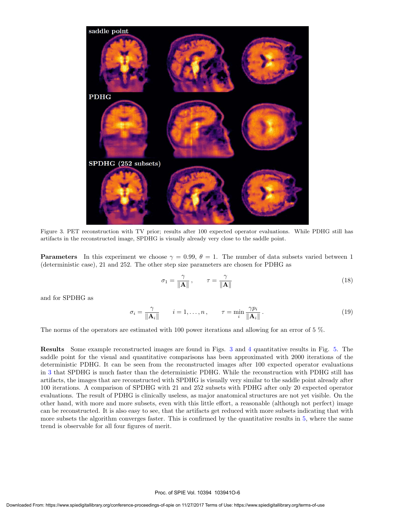

Figure 3. PET reconstruction with TV prior; results after 100 expected operator evaluations. While PDHG still has artifacts in the reconstructed image, SPDHG is visually already very close to the saddle point.

**Parameters** In this experiment we choose  $\gamma = 0.99$ ,  $\theta = 1$ . The number of data subsets varied between 1 (deterministic case), 21 and 252. The other step size parameters are chosen for PDHG as

$$
\sigma_1 = \frac{\gamma}{\|\mathbf{A}\|}, \qquad \tau = \frac{\gamma}{\|\mathbf{A}\|} \tag{18}
$$

and for SPDHG as

$$
\sigma_i = \frac{\gamma}{\|\mathbf{A}_i\|} \qquad i = 1, \dots, n \,, \qquad \tau = \min_i \frac{\gamma p_i}{\|\mathbf{A}_i\|} \,.
$$
 (19)

The norms of the operators are estimated with 100 power iterations and allowing for an error of 5 %.

Results Some example reconstructed images are found in Figs. 3 and 4 quantitative results in Fig. 5. The saddle point for the visual and quantitative comparisons has been approximated with 2000 iterations of the deterministic PDHG. It can be seen from the reconstructed images after 100 expected operator evaluations in 3 that SPDHG is much faster than the deterministic PDHG. While the reconstruction with PDHG still has artifacts, the images that are reconstructed with SPDHG is visually very similar to the saddle point already after 100 iterations. A comparison of SPDHG with 21 and 252 subsets with PDHG after only 20 expected operator evaluations. The result of PDHG is clinically useless, as major anatomical structures are not yet visible. On the other hand, with more and more subsets, even with this little effort, a reasonable (although not perfect) image can be reconstructed. It is also easy to see, that the artifacts get reduced with more subsets indicating that with more subsets the algorithm converges faster. This is confirmed by the quantitative results in 5, where the same trend is observable for all four figures of merit.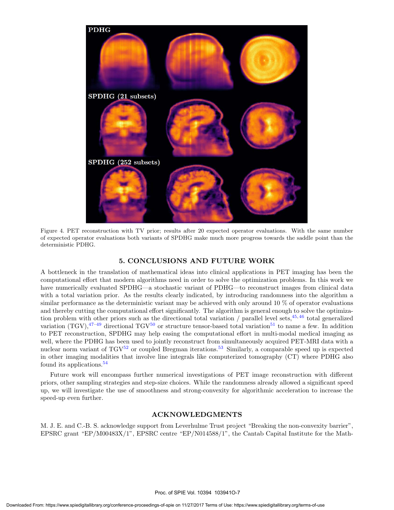

Figure 4. PET reconstruction with TV prior; results after 20 expected operator evaluations. With the same number of expected operator evaluations both variants of SPDHG make much more progress towards the saddle point than the deterministic PDHG.

#### 5. CONCLUSIONS AND FUTURE WORK

A bottleneck in the translation of mathematical ideas into clinical applications in PET imaging has been the computational effort that modern algorithms need in order to solve the optimization problems. In this work we have numerically evaluated SPDHG—a stochastic variant of PDHG—to reconstruct images from clinical data with a total variation prior. As the results clearly indicated, by introducing randomness into the algorithm a similar performance as the deterministic variant may be achieved with only around 10 % of operator evaluations and thereby cutting the computational effort significantly. The algorithm is general enough to solve the optimization problem with other priors such as the directional total variation / parallel level sets,  $45, 46$  total generalized variation (TGV), $47-49$  directional TGV<sup>50</sup> or structure tensor-based total variation<sup>51</sup> to name a few. In addition to PET reconstruction, SPDHG may help easing the computational effort in multi-modal medical imaging as well, where the PDHG has been used to jointly reconstruct from simultaneously acquired PET-MRI data with a nuclear norm variant of  $TGV^{52}$  or coupled Bregman iterations.<sup>53</sup> Similarly, a comparable speed up is expected in other imaging modalities that involve line integrals like computerized tomography (CT) where PDHG also found its applications.<sup>54</sup>

Future work will encompass further numerical investigations of PET image reconstruction with different priors, other sampling strategies and step-size choices. While the randomness already allowed a significant speed up, we will investigate the use of smoothness and strong-convexity for algorithmic acceleration to increase the speed-up even further.

#### ACKNOWLEDGMENTS

M. J. E. and C.-B. S. acknowledge support from Leverhulme Trust project "Breaking the non-convexity barrier", EPSRC grant "EP/M00483X/1", EPSRC centre "EP/N014588/1", the Cantab Capital Institute for the Math-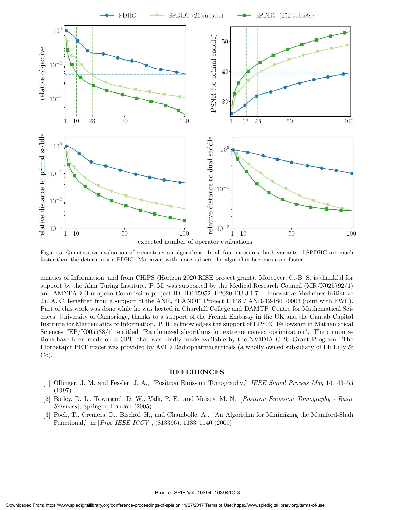

Figure 5. Quantitative evaluation of reconstruction algorithms. In all four measures, both variants of SPDHG are much faster than the deterministic PDHG. Moreover, with more subsets the algorithm becomes even faster.

ematics of Information, and from CHiPS (Horizon 2020 RISE project grant). Moreover, C.-B. S. is thankful for support by the Alan Turing Institute. P. M. was supported by the Medical Research Council (MR/N025792/1) and AMYPAD (European Commission project ID: ID115952, H2020-EU.3.1.7. - Innovative Medicines Initiative 2). A. C. benefited from a support of the ANR, "EANOI" Project I1148 / ANR-12-IS01-0003 (joint with FWF). Part of this work was done while he was hosted in Churchill College and DAMTP, Centre for Mathematical Sciences, University of Cambridge, thanks to a support of the French Embassy in the UK and the Cantab Capital Institute for Mathematics of Information. P. R. acknowledges the support of EPSRC Fellowship in Mathematical Sciences "EP/N005538/1" entitled "Randomized algorithms for extreme convex optimization". The computations have been made on a GPU that was kindly made available by the NVIDIA GPU Grant Program. The Florbetapir PET tracer was provided by AVID Radiopharmaceuticals (a wholly owned subsidiary of Eli Lilly &  $Co$ ).

#### REFERENCES

- [1] Ollinger, J. M. and Fessler, J. A., "Positron Emission Tomography," IEEE Signal Process Mag 14, 43–55 (1997).
- [2] Bailey, D. L., Townsend, D. W., Valk, P. E., and Maisey, M. N., [Positron Emission Tomography Basic Sciences], Springer, London (2005).
- [3] Pock, T., Cremers, D., Bischof, H., and Chambolle, A., "An Algorithm for Minimizing the Mumford-Shah Functional," in [Proc IEEE ICCV], (813396), 1133–1140 (2009).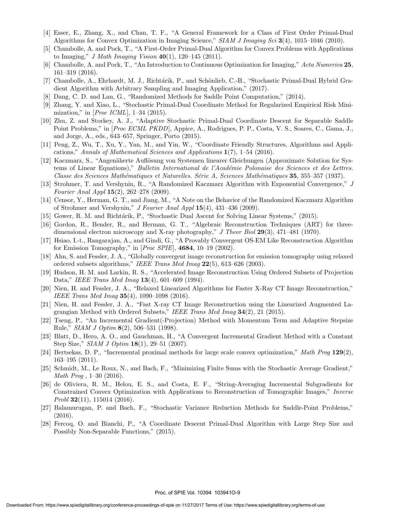- [4] Esser, E., Zhang, X., and Chan, T. F., "A General Framework for a Class of First Order Primal-Dual Algorithms for Convex Optimization in Imaging Science," SIAM J Imaging Sci 3(4), 1015–1046 (2010).
- [5] Chambolle, A. and Pock, T., "A First-Order Primal-Dual Algorithm for Convex Problems with Applications to Imaging," *J Math Imaging Vision*  $40(1)$ , 120-145 (2011).
- [6] Chambolle, A. and Pock, T., "An Introduction to Continuous Optimization for Imaging," Acta Numerica 25, 161–319 (2016).
- [7] Chambolle, A., Ehrhardt, M. J., Richtárik, P., and Schönlieb, C.-B., "Stochastic Primal-Dual Hybrid Gradient Algorithm with Arbitrary Sampling and Imaging Application," (2017).
- [8] Dang, C. D. and Lan, G., "Randomized Methods for Saddle Point Computation," (2014).
- [9] Zhang, Y. and Xiao, L., "Stochastic Primal-Dual Coordinate Method for Regularized Empirical Risk Minimization," in  $[Proc~ICML], 1-34~(2015).$
- [10] Zhu, Z. and Storkey, A. J., "Adaptive Stochastic Primal-Dual Coordinate Descent for Separable Saddle Point Problems," in [Proc ECML PKDD], Appice, A., Rodrigues, P. P., Costa, V. S., Soares, C., Gama, J., and Jorge, A., eds., 643–657, Springer, Porto (2015).
- [11] Peng, Z., Wu, T., Xu, Y., Yan, M., and Yin, W., "Coordinate Friendly Structures, Algorithms and Applications," Annals of Mathematical Sciences and Applications 1(7), 1–54 (2016).
- [12] Kaczmarz, S., "Angenäherte Auflösung von Systemen linearer Gleichungen (Approximate Solution for Systems of Linear Equations)," *Bulletin International de l'Académie Polonaise des Sciences et des Lettres.* Classe des Sciences Mathématiques et Naturelles. Série A, Sciences Mathématiques 35, 355–357 (1937).
- [13] Strohmer, T. and Vershynin, R., "A Randomized Kaczmarz Algorithm with Exponential Convergence," J Fourier Anal Appl 15(2), 262–278 (2009).
- [14] Censor, Y., Herman, G. T., and Jiang, M., "A Note on the Behavior of the Randomized Kaczmarz Algorithm of Strohmer and Vershynin," J Fourier Anal Appl 15(4), 431–436 (2009).
- [15] Gower, R. M. and Richtárik, P., "Stochastic Dual Ascent for Solving Linear Systems," (2015).
- [16] Gordon, R., Bender, R., and Herman, G. T., "Algebraic Reconstruction Techniques (ART) for threedimensional electron microscopy and X-ray photography," J Theor Biol 29(3), 471–481 (1970).
- [17] Hsiao, I.-t., Rangarajan, A., and Gindi, G., "A Provably Convergent OS-EM Like Reconstruction Algorithm for Emission Tomography," in [Proc SPIE], 4684, 10–19 (2002).
- [18] Ahn, S. and Fessler, J. A., "Globally convergent image reconstruction for emission tomography using relaxed ordered subsets algorithms," IEEE Trans Med Imag 22(5), 613–626 (2003).
- [19] Hudson, H. M. and Larkin, R. S., "Accelerated Image Reconstruction Using Ordered Subsets of Projection Data," IEEE Trans Med Imag 13(4), 601–609 (1994).
- [20] Nien, H. and Fessler, J. A., "Relaxed Linearized Algorithms for Faster X-Ray CT Image Reconstruction," IEEE Trans Med Imag 35(4), 1090–1098 (2016).
- [21] Nien, H. and Fessler, J. A., "Fast X-ray CT Image Reconstruction using the Linearized Augmented Lagrangian Method with Ordered Subsets," IEEE Trans Med Imag 34(2), 21 (2015).
- [22] Tseng, P., "An Incremental Gradient(-Projection) Method with Momentum Term and Adaptive Stepsize Rule," SIAM J Optim 8(2), 506–531 (1998).
- [23] Blatt, D., Hero, A. O., and Gauchman, H., "A Convergent Incremental Gradient Method with a Constant Step Size," *SIAM J Optim* **18**(1), 29–51 (2007).
- [24] Bertsekas, D. P., "Incremental proximal methods for large scale convex optimization," Math Prog 129(2), 163–195 (2011).
- [25] Schmidt, M., Le Roux, N., and Bach, F., "Minimizing Finite Sums with the Stochastic Average Gradient," Math Prog , 1–30 (2016).
- [26] de Oliviera, R. M., Helou, E. S., and Costa, E. F., "String-Averaging Incremental Subgradients for Constrained Convex Optimization with Applications to Reconstruction of Tomographic Images," Inverse Probl  $32(11)$ , 115014 (2016).
- [27] Balamurugan, P. and Bach, F., "Stochastic Variance Reduction Methods for Saddle-Point Problems," (2016).
- [28] Fercoq, O. and Bianchi, P., "A Coordinate Descent Primal-Dual Algorithm with Large Step Size and Possibly Non-Separable Functions," (2015).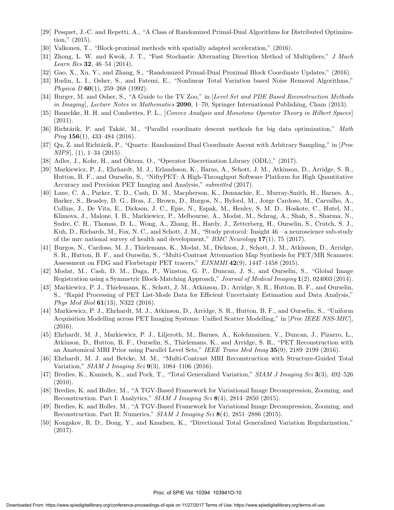- [29] Pesquet, J.-C. and Repetti, A., "A Class of Randomized Primal-Dual Algorithms for Distributed Optimization," (2015).
- [30] Valkonen, T., "Block-proximal methods with spatially adapted acceleration," (2016).
- [31] Zhong, L. W. and Kwok, J. T., "Fast Stochastic Alternating Direction Method of Multipliers," J Mach *Learn Res* 32, 46–54 (2014).
- [32] Gao, X., Xu, Y., and Zhang, S., "Randomized Primal-Dual Proximal Block Coordinate Updates," (2016).
- [33] Rudin, L. I., Osher, S., and Fatemi, E., "Nonlinear Total Variation based Noise Removal Algorithms," Physica D 60(1), 259–268 (1992).
- [34] Burger, M. and Osher, S., "A Guide to the TV Zoo," in [Level Set and PDE Based Reconstruction Methods in Imaging], Lecture Notes in Mathematics 2090, 1–70, Springer International Publishing, Cham (2013).
- [35] Bauschke, H. H. and Combettes, P. L., [Convex Analysis and Monotone Operator Theory in Hilbert Spaces] (2011).
- [36] Richtárik, P. and Takáč, M., "Parallel coordinate descent methods for big data optimization," Math *Prog*  $156(1)$ ,  $433-484$  (2016).
- [37] Qu, Z. and Richtárik, P., "Quartz: Randomized Dual Coordinate Ascent with Arbitrary Sampling," in [*Proc*  $NIPS$ ,  $(1)$ ,  $1-34$   $(2015)$ .
- [38] Adler, J., Kohr, H., and Oktem, O., "Operator Discretization Library (ODL)," (2017).
- [39] Markiewicz, P. J., Ehrhardt, M. J., Erlandsson, K., Barns, A., Schott, J. M., Atkinson, D., Arridge, S. R., Hutton, B. F., and Ourselin, S., "NiftyPET: A High-Throughput Software Platform for High Quantitative Accuracy and Precision PET Imaging and Analysis," submitted (2017).
- [40] Lane, C. A., Parker, T. D., Cash, D. M., Macpherson, K., Donnachie, E., Murray-Smith, H., Barnes, A., Barker, S., Beasley, D. G., Bras, J., Brown, D., Burgos, N., Byford, M., Jorge Cardoso, M., Carvalho, A., Collins, J., De Vita, E., Dickson, J. C., Epie, N., Espak, M., Henley, S. M. D., Hoskote, C., Hutel, M., Klimova, J., Malone, I. B., Markiewicz, P., Melbourne, A., Modat, M., Schrag, A., Shah, S., Sharma, N., Sudre, C. H., Thomas, D. L., Wong, A., Zhang, H., Hardy, J., Zetterberg, H., Ourselin, S., Crutch, S. J., Kuh, D., Richards, M., Fox, N. C., and Schott, J. M., "Study protocol: Insight 46 – a neuroscience sub-study of the mrc national survey of health and development,"  $BMC$  Neurology 17(1), 75 (2017).
- [41] Burgos, N., Cardoso, M. J., Thielemans, K., Modat, M., Dickson, J., Schott, J. M., Atkinson, D., Arridge, S. R., Hutton, B. F., and Ourselin, S., "Multi-Contrast Attenuation Map Synthesis for PET/MR Scanners: Assessment on FDG and Florbetapir PET tracers," EJNMMI 42(9), 1447–1458 (2015).
- [42] Modat, M., Cash, D. M., Daga, P., Winston, G. P., Duncan, J. S., and Ourselin, S., "Global Image Registration using a Symmetric Block-Matching Approach," Journal of Medical Imaging 1(2), 024003 (2014).
- [43] Markiewicz, P. J., Thielemans, K., Schott, J. M., Atkinson, D., Arridge, S. R., Hutton, B. F., and Ourselin, S., "Rapid Processing of PET List-Mode Data for Efficient Uncertainty Estimation and Data Analysis," Phys Med Biol 61(13), N322 (2016).
- [44] Markiewicz, P. J., Ehrhardt, M. J., Atkinson, D., Arridge, S. R., Hutton, B. F., and Ourselin, S., "Uniform Acquisition Modelling across PET Imaging Systems: Unified Scatter Modelling," in [Proc IEEE NSS-MIC], (2016).
- [45] Ehrhardt, M. J., Markiewicz, P. J., Liljeroth, M., Barnes, A., Kolehmainen, V., Duncan, J., Pizarro, L., Atkinson, D., Hutton, B. F., Ourselin, S., Thielemans, K., and Arridge, S. R., "PET Reconstruction with an Anatomical MRI Prior using Parallel Level Sets," IEEE Trans Med Imag 35(9), 2189–2199 (2016).
- [46] Ehrhardt, M. J. and Betcke, M. M., "Multi-Contrast MRI Reconstruction with Structure-Guided Total Variation," *SIAM J Imaging Sci*  $9(3)$ , 1084–1106 (2016).
- [47] Bredies, K., Kunisch, K., and Pock, T., "Total Generalized Variation," SIAM J Imaging Sci 3(3), 492–526 (2010).
- [48] Bredies, K. and Holler, M., "A TGV-Based Framework for Variational Image Decompression, Zooming, and Reconstruction. Part I: Analytics," SIAM J Imaging Sci 8(4), 2814–2850 (2015).
- [49] Bredies, K. and Holler, M., "A TGV-Based Framework for Variational Image Decompression, Zooming, and Reconstruction. Part II: Numerics," SIAM J Imaging Sci 8(4), 2851–2886 (2015).
- [50] Kongskov, R. D., Dong, Y., and Knudsen, K., "Directional Total Generalized Variation Regularization," (2017).